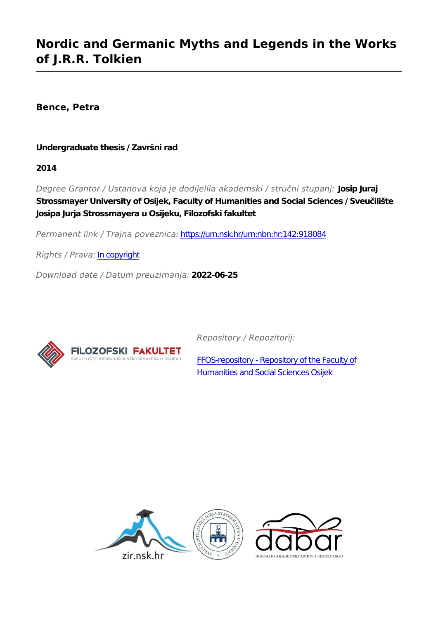## **Nordic and Germanic Myths and Legends in the Works of J.R.R. Tolkien**

**Bence, Petra**

**Undergraduate thesis / Završni rad**

**2014**

*Degree Grantor / Ustanova koja je dodijelila akademski / stručni stupanj:* **Josip Juraj Strossmayer University of Osijek, Faculty of Humanities and Social Sciences / Sveučilište Josipa Jurja Strossmayera u Osijeku, Filozofski fakultet**

*Permanent link / Trajna poveznica:* <https://urn.nsk.hr/urn:nbn:hr:142:918084>

*Rights / Prava:* [In copyright](http://rightsstatements.org/vocab/InC/1.0/)

*Download date / Datum preuzimanja:* **2022-06-25**



*Repository / Repozitorij:*

[FFOS-repository - Repository of the Faculty of](https://repozitorij.ffos.hr) [Humanities and Social Sciences Osijek](https://repozitorij.ffos.hr)

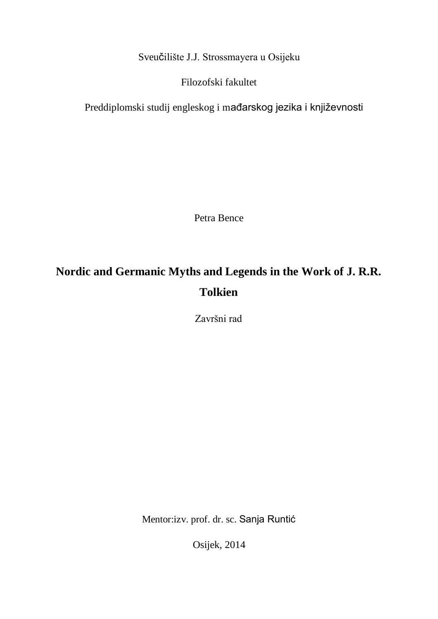Sveučilište J.J. Strossmayera u Osijeku

Filozofski fakultet

Preddiplomski studij engleskog i mađarskog jezika i književnosti

Petra Bence

# **Nordic and Germanic Myths and Legends in the Work of J. R.R. Tolkien**

Završni rad

Mentor:izv. prof. dr. sc. Sanja Runtić

Osijek, 2014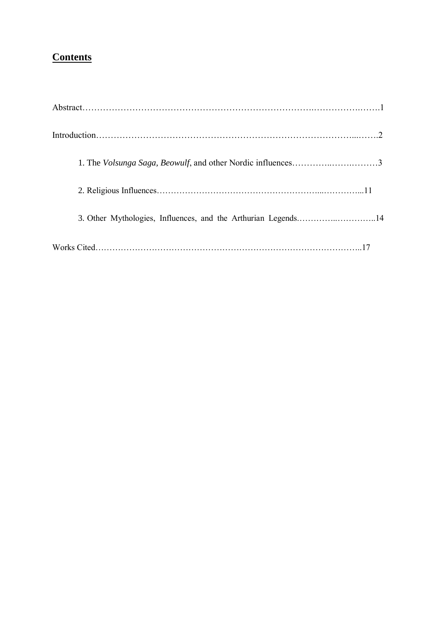### **Contents**

| 3. Other Mythologies, Influences, and the Arthurian Legends14 |
|---------------------------------------------------------------|
|                                                               |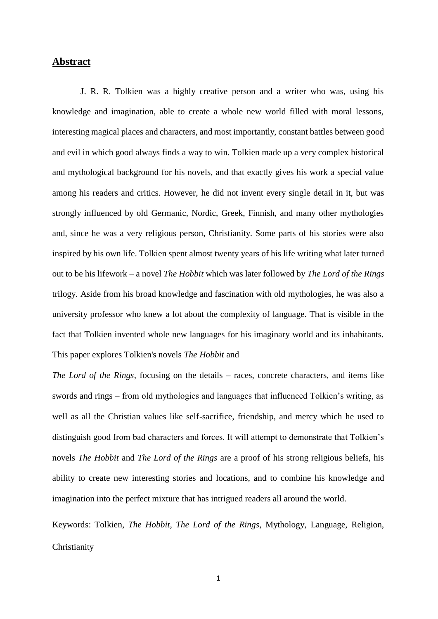#### **Abstract**

J. R. R. Tolkien was a highly creative person and a writer who was, using his knowledge and imagination, able to create a whole new world filled with moral lessons, interesting magical places and characters, and most importantly, constant battles between good and evil in which good always finds a way to win. Tolkien made up a very complex historical and mythological background for his novels, and that exactly gives his work a special value among his readers and critics. However, he did not invent every single detail in it, but was strongly influenced by old Germanic, Nordic, Greek, Finnish, and many other mythologies and, since he was a very religious person, Christianity. Some parts of his stories were also inspired by his own life. Tolkien spent almost twenty years of his life writing what later turned out to be his lifework – a novel *The Hobbit* which was later followed by *The Lord of the Rings*  trilogy*.* Aside from his broad knowledge and fascination with old mythologies, he was also a university professor who knew a lot about the complexity of language. That is visible in the fact that Tolkien invented whole new languages for his imaginary world and its inhabitants. This paper explores Tolkien's novels *The Hobbit* and

*The Lord of the Rings*, focusing on the details – races, concrete characters, and items like swords and rings – from old mythologies and languages that influenced Tolkien's writing, as well as all the Christian values like self-sacrifice, friendship, and mercy which he used to distinguish good from bad characters and forces. It will attempt to demonstrate that Tolkien's novels *The Hobbit* and *The Lord of the Rings* are a proof of his strong religious beliefs, his ability to create new interesting stories and locations, and to combine his knowledge and imagination into the perfect mixture that has intrigued readers all around the world.

Keywords: Tolkien, *The Hobbit, The Lord of the Rings*, Mythology, Language, Religion, Christianity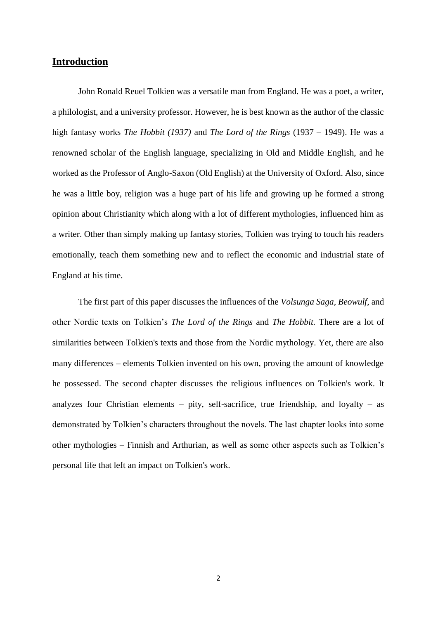#### **Introduction**

John Ronald Reuel Tolkien was a versatile man from England. He was a poet, a writer, a philologist, and a university professor. However, he is best known as the author of the classic high fantasy works *The Hobbit (1937)* and *The Lord of the Rings* (1937 – 1949). He was a renowned scholar of the English language, specializing in Old and Middle English, and he worked as the Professor of Anglo-Saxon (Old English) at the University of Oxford. Also, since he was a little boy, religion was a huge part of his life and growing up he formed a strong opinion about Christianity which along with a lot of different mythologies, influenced him as a writer. Other than simply making up fantasy stories, Tolkien was trying to touch his readers emotionally, teach them something new and to reflect the economic and industrial state of England at his time.

The first part of this paper discusses the influences of the *Volsunga Saga, Beowulf*, and other Nordic texts on Tolkien's *The Lord of the Rings* and *The Hobbit.* There are a lot of similarities between Tolkien's texts and those from the Nordic mythology. Yet, there are also many differences – elements Tolkien invented on his own, proving the amount of knowledge he possessed. The second chapter discusses the religious influences on Tolkien's work. It analyzes four Christian elements – pity, self-sacrifice, true friendship, and loyalty – as demonstrated by Tolkien's characters throughout the novels. The last chapter looks into some other mythologies – Finnish and Arthurian, as well as some other aspects such as Tolkien's personal life that left an impact on Tolkien's work.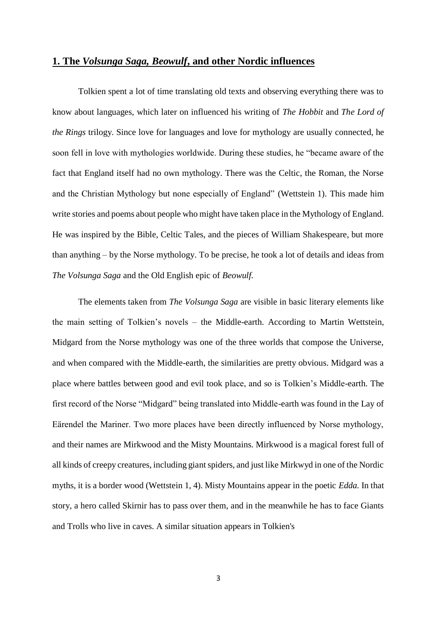#### **1. The** *Volsunga Saga, Beowulf***, and other Nordic influences**

Tolkien spent a lot of time translating old texts and observing everything there was to know about languages, which later on influenced his writing of *The Hobbit* and *The Lord of the Rings* trilogy. Since love for languages and love for mythology are usually connected, he soon fell in love with mythologies worldwide. During these studies, he "became aware of the fact that England itself had no own mythology. There was the Celtic, the Roman, the Norse and the Christian Mythology but none especially of England" (Wettstein 1). This made him write stories and poems about people who might have taken place in the Mythology of England. He was inspired by the Bible, Celtic Tales, and the pieces of William Shakespeare, but more than anything – by the Norse mythology. To be precise, he took a lot of details and ideas from *The Volsunga Saga* and the Old English epic of *Beowulf.*

The elements taken from *The Volsunga Saga* are visible in basic literary elements like the main setting of Tolkien's novels – the Middle-earth. According to Martin Wettstein, Midgard from the Norse mythology was one of the three worlds that compose the Universe, and when compared with the Middle-earth, the similarities are pretty obvious. Midgard was a place where battles between good and evil took place, and so is Tolkien's Middle-earth. The first record of the Norse "Midgard" being translated into Middle-earth was found in the Lay of Eärendel the Mariner. Two more places have been directly influenced by Norse mythology, and their names are Mirkwood and the Misty Mountains. Mirkwood is a magical forest full of all kinds of creepy creatures, including giant spiders, and just like Mirkwyd in one of the Nordic myths, it is a border wood (Wettstein 1, 4). Misty Mountains appear in the poetic *Edda.* In that story, a hero called Skirnir has to pass over them, and in the meanwhile he has to face Giants and Trolls who live in caves. A similar situation appears in Tolkien's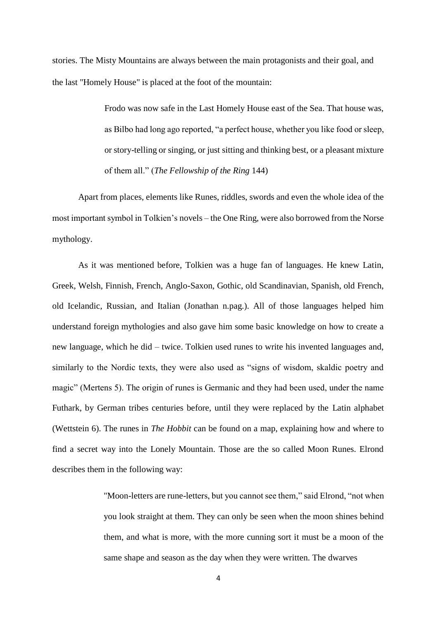stories. The Misty Mountains are always between the main protagonists and their goal, and the last "Homely House" is placed at the foot of the mountain:

> Frodo was now safe in the Last Homely House east of the Sea. That house was, as Bilbo had long ago reported, "a perfect house, whether you like food or sleep, or story-telling or singing, or just sitting and thinking best, or a pleasant mixture of them all." (*The Fellowship of the Ring* 144)

Apart from places, elements like Runes, riddles, swords and even the whole idea of the most important symbol in Tolkien's novels – the One Ring, were also borrowed from the Norse mythology.

As it was mentioned before, Tolkien was a huge fan of languages. He knew Latin, Greek, Welsh, Finnish, French, Anglo-Saxon, Gothic, old Scandinavian, Spanish, old French, old Icelandic, Russian, and Italian (Jonathan n.pag.). All of those languages helped him understand foreign mythologies and also gave him some basic knowledge on how to create a new language, which he did – twice. Tolkien used runes to write his invented languages and, similarly to the Nordic texts, they were also used as "signs of wisdom, skaldic poetry and magic" (Mertens 5). The origin of runes is Germanic and they had been used, under the name Futhark, by German tribes centuries before, until they were replaced by the Latin alphabet (Wettstein 6). The runes in *The Hobbit* can be found on a map, explaining how and where to find a secret way into the Lonely Mountain. Those are the so called Moon Runes. Elrond describes them in the following way:

> "Moon-letters are rune-letters, but you cannot see them," said Elrond, "not when you look straight at them. They can only be seen when the moon shines behind them, and what is more, with the more cunning sort it must be a moon of the same shape and season as the day when they were written. The dwarves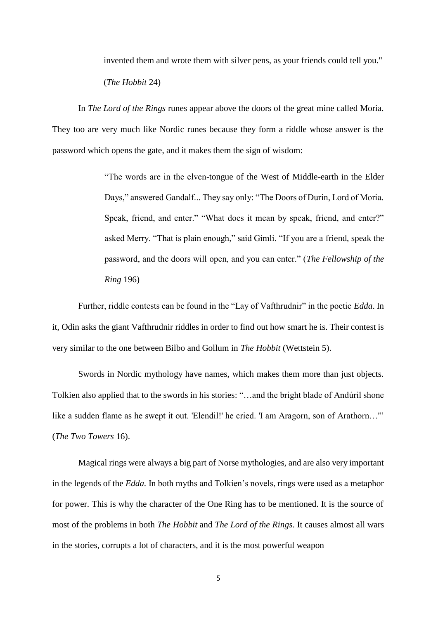invented them and wrote them with silver pens, as your friends could tell you."

(*The Hobbit* 24)

In *The Lord of the Rings* runes appear above the doors of the great mine called Moria. They too are very much like Nordic runes because they form a riddle whose answer is the password which opens the gate, and it makes them the sign of wisdom:

> "The words are in the elven-tongue of the West of Middle-earth in the Elder Days," answered Gandalf... They say only: "The Doors of Durin, Lord of Moria. Speak, friend, and enter." "What does it mean by speak, friend, and enter?" asked Merry. "That is plain enough," said Gimli. "If you are a friend, speak the password, and the doors will open, and you can enter." (*The Fellowship of the Ring* 196)

Further, riddle contests can be found in the "Lay of Vafthrudnir" in the poetic *Edda*. In it, Odin asks the giant Vafthrudnir riddles in order to find out how smart he is. Their contest is very similar to the one between Bilbo and Gollum in *The Hobbit* (Wettstein 5).

Swords in Nordic mythology have names, which makes them more than just objects. Tolkien also applied that to the swords in his stories: "…and the bright blade of Andúril shone like a sudden flame as he swept it out. 'Elendil!' he cried. 'I am Aragorn, son of Arathorn...'" (*The Two Towers* 16).

Magical rings were always a big part of Norse mythologies, and are also very important in the legends of the *Edda.* In both myths and Tolkien's novels, rings were used as a metaphor for power. This is why the character of the One Ring has to be mentioned. It is the source of most of the problems in both *The Hobbit* and *The Lord of the Rings*. It causes almost all wars in the stories, corrupts a lot of characters, and it is the most powerful weapon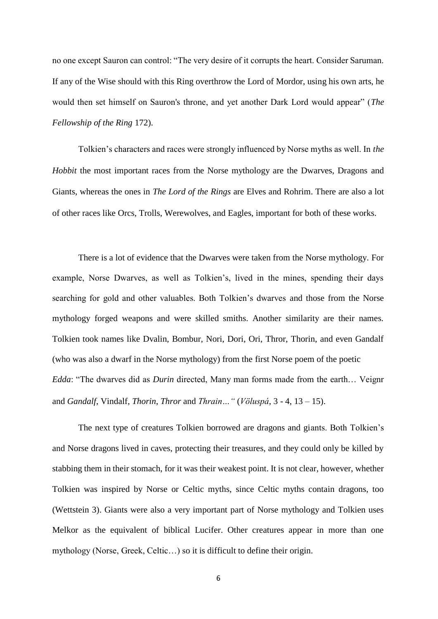no one except Sauron can control: "The very desire of it corrupts the heart. Consider Saruman. If any of the Wise should with this Ring overthrow the Lord of Mordor, using his own arts, he would then set himself on Sauron's throne, and yet another Dark Lord would appear" (*The Fellowship of the Ring* 172).

Tolkien's characters and races were strongly influenced by Norse myths as well. In *the Hobbit* the most important races from the Norse mythology are the Dwarves, Dragons and Giants, whereas the ones in *The Lord of the Rings* are Elves and Rohrim. There are also a lot of other races like Orcs, Trolls, Werewolves, and Eagles, important for both of these works.

There is a lot of evidence that the Dwarves were taken from the Norse mythology. For example, Norse Dwarves, as well as Tolkien's, lived in the mines, spending their days searching for gold and other valuables. Both Tolkien's dwarves and those from the Norse mythology forged weapons and were skilled smiths. Another similarity are their names. Tolkien took names like Dvalin, Bombur, Nori, Dori, Ori, Thror, Thorin, and even Gandalf (who was also a dwarf in the Norse mythology) from the first Norse poem of the poetic *Edda*: "The dwarves did as *Durin* directed, Many man forms made from the earth… Veignr and *Gandalf*, Vindalf, *Thorin*, *Thror* and *Thrain…"* (*Völuspá*, 3 - 4, 13 – 15).

The next type of creatures Tolkien borrowed are dragons and giants. Both Tolkien's and Norse dragons lived in caves, protecting their treasures, and they could only be killed by stabbing them in their stomach, for it was their weakest point. It is not clear, however, whether Tolkien was inspired by Norse or Celtic myths, since Celtic myths contain dragons, too (Wettstein 3). Giants were also a very important part of Norse mythology and Tolkien uses Melkor as the equivalent of biblical Lucifer. Other creatures appear in more than one mythology (Norse, Greek, Celtic…) so it is difficult to define their origin.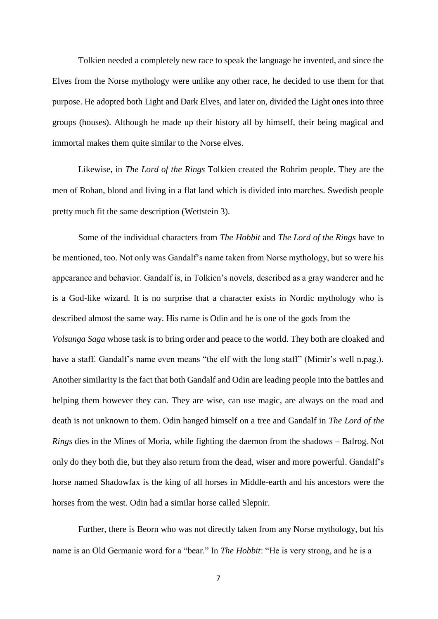Tolkien needed a completely new race to speak the language he invented, and since the Elves from the Norse mythology were unlike any other race, he decided to use them for that purpose. He adopted both Light and Dark Elves, and later on, divided the Light ones into three groups (houses). Although he made up their history all by himself, their being magical and immortal makes them quite similar to the Norse elves.

Likewise, in *The Lord of the Rings* Tolkien created the Rohrim people. They are the men of Rohan, blond and living in a flat land which is divided into marches. Swedish people pretty much fit the same description (Wettstein 3).

Some of the individual characters from *The Hobbit* and *The Lord of the Rings* have to be mentioned, too. Not only was Gandalf's name taken from Norse mythology, but so were his appearance and behavior. Gandalf is, in Tolkien's novels, described as a gray wanderer and he is a God-like wizard. It is no surprise that a character exists in Nordic mythology who is described almost the same way. His name is Odin and he is one of the gods from the *Volsunga Saga* whose task is to bring order and peace to the world. They both are cloaked and have a staff. Gandalf's name even means "the elf with the long staff" (Mimir's well n.pag.). Another similarity is the fact that both Gandalf and Odin are leading people into the battles and helping them however they can. They are wise, can use magic, are always on the road and death is not unknown to them. Odin hanged himself on a tree and Gandalf in *The Lord of the Rings* dies in the Mines of Moria, while fighting the daemon from the shadows – Balrog. Not only do they both die, but they also return from the dead, wiser and more powerful. Gandalf's horse named Shadowfax is the king of all horses in Middle-earth and his ancestors were the horses from the west. Odin had a similar horse called Slepnir.

Further, there is Beorn who was not directly taken from any Norse mythology, but his name is an Old Germanic word for a "bear." In *The Hobbit*: "He is very strong, and he is a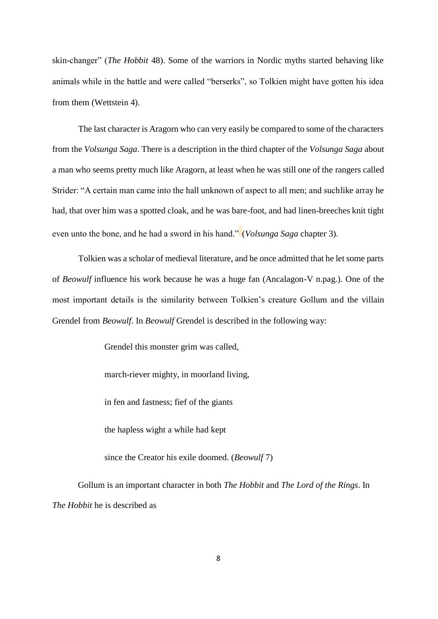skin-changer" (*The Hobbit* 48). Some of the warriors in Nordic myths started behaving like animals while in the battle and were called "berserks", so Tolkien might have gotten his idea from them (Wettstein 4).

The last character is Aragorn who can very easily be compared to some of the characters from the *Volsunga Saga*. There is a description in the third chapter of the *Volsunga Saga* about a man who seems pretty much like Aragorn, at least when he was still one of the rangers called Strider: "A certain man came into the hall unknown of aspect to all men; and suchlike array he had, that over him was a spotted cloak, and he was bare-foot, and had linen-breeches knit tight even unto the bone, and he had a sword in his hand." (*Volsunga Saga* chapter 3).

Tolkien was a scholar of medieval literature, and he once admitted that he let some parts of *Beowulf* influence his work because he was a huge fan (Ancalagon-V n.pag.). One of the most important details is the similarity between Tolkien's creature Gollum and the villain Grendel from *Beowulf*. In *Beowulf* Grendel is described in the following way:

Grendel this monster grim was called,

march-riever mighty, in moorland living,

in fen and fastness; fief of the giants

the hapless wight a while had kept

since the Creator his exile doomed. (*Beowulf* 7)

Gollum is an important character in both *The Hobbit* and *The Lord of the Rings*. In *The Hobbit* he is described as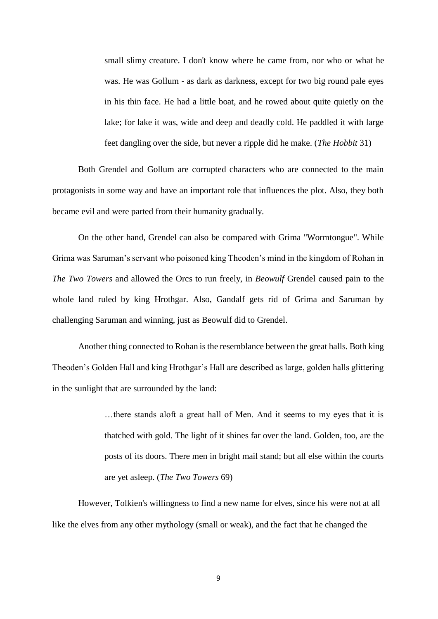small slimy creature. I don't know where he came from, nor who or what he was. He was Gollum - as dark as darkness, except for two big round pale eyes in his thin face. He had a little boat, and he rowed about quite quietly on the lake; for lake it was, wide and deep and deadly cold. He paddled it with large feet dangling over the side, but never a ripple did he make. (*The Hobbit* 31)

Both Grendel and Gollum are corrupted characters who are connected to the main protagonists in some way and have an important role that influences the plot. Also, they both became evil and were parted from their humanity gradually.

On the other hand, Grendel can also be compared with Grima "Wormtongue". While Grima was Saruman's servant who poisoned king Theoden's mind in the kingdom of Rohan in *The Two Towers* and allowed the Orcs to run freely, in *Beowulf* Grendel caused pain to the whole land ruled by king Hrothgar. Also, Gandalf gets rid of Grima and Saruman by challenging Saruman and winning, just as Beowulf did to Grendel.

Another thing connected to Rohan is the resemblance between the great halls. Both king Theoden's Golden Hall and king Hrothgar's Hall are described as large, golden halls glittering in the sunlight that are surrounded by the land:

> …there stands aloft a great hall of Men. And it seems to my eyes that it is thatched with gold. The light of it shines far over the land. Golden, too, are the posts of its doors. There men in bright mail stand; but all else within the courts are yet asleep. (*The Two Towers* 69)

However, Tolkien's willingness to find a new name for elves, since his were not at all like the elves from any other mythology (small or weak), and the fact that he changed the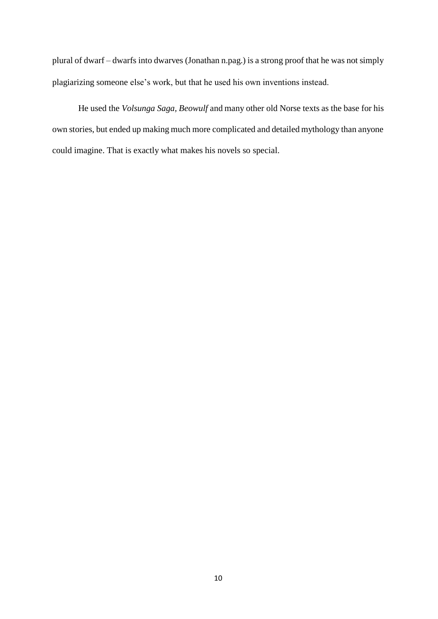plural of dwarf – dwarfs into dwarves (Jonathan n.pag.) is a strong proof that he was not simply plagiarizing someone else's work, but that he used his own inventions instead.

He used the *Volsunga Saga, Beowulf* and many other old Norse texts as the base for his own stories, but ended up making much more complicated and detailed mythology than anyone could imagine. That is exactly what makes his novels so special.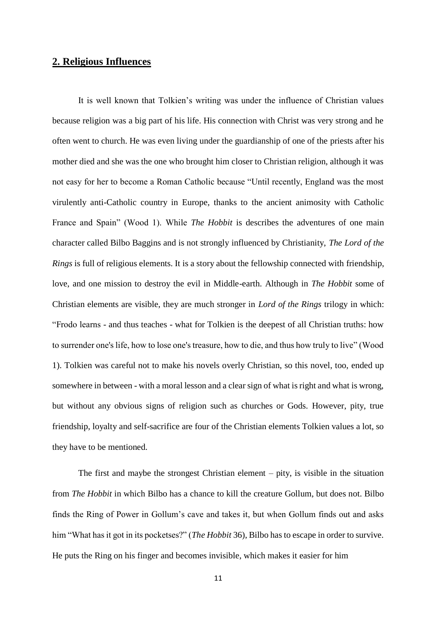#### **2. Religious Influences**

It is well known that Tolkien's writing was under the influence of Christian values because religion was a big part of his life. His connection with Christ was very strong and he often went to church. He was even living under the guardianship of one of the priests after his mother died and she was the one who brought him closer to Christian religion, although it was not easy for her to become a Roman Catholic because "Until recently, England was the most virulently anti-Catholic country in Europe, thanks to the ancient animosity with Catholic France and Spain" (Wood 1). While *The Hobbit* is describes the adventures of one main character called Bilbo Baggins and is not strongly influenced by Christianity, *The Lord of the Rings* is full of religious elements. It is a story about the fellowship connected with friendship, love, and one mission to destroy the evil in Middle-earth. Although in *The Hobbit* some of Christian elements are visible, they are much stronger in *Lord of the Rings* trilogy in which: "Frodo learns - and thus teaches - what for Tolkien is the deepest of all Christian truths: how to surrender one's life, how to lose one's treasure, how to die, and thus how truly to live" (Wood 1). Tolkien was careful not to make his novels overly Christian, so this novel, too, ended up somewhere in between - with a moral lesson and a clear sign of what is right and what is wrong, but without any obvious signs of religion such as churches or Gods. However, pity, true friendship, loyalty and self-sacrifice are four of the Christian elements Tolkien values a lot, so they have to be mentioned.

The first and maybe the strongest Christian element – pity, is visible in the situation from *The Hobbit* in which Bilbo has a chance to kill the creature Gollum, but does not. Bilbo finds the Ring of Power in Gollum's cave and takes it, but when Gollum finds out and asks him "What has it got in its pocketses?" (*The Hobbit* 36), Bilbo has to escape in order to survive. He puts the Ring on his finger and becomes invisible, which makes it easier for him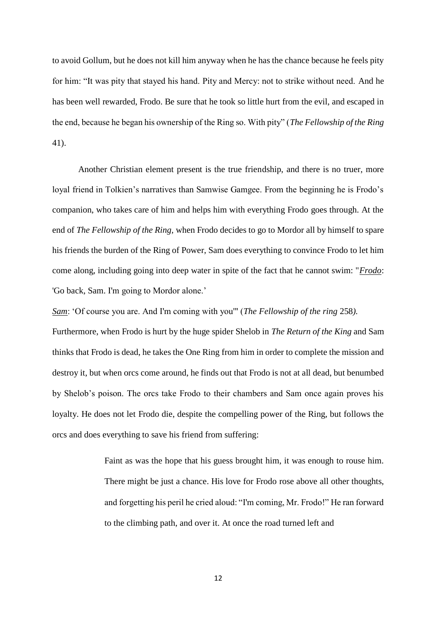to avoid Gollum, but he does not kill him anyway when he has the chance because he feels pity for him: "It was pity that stayed his hand. Pity and Mercy: not to strike without need. And he has been well rewarded, Frodo. Be sure that he took so little hurt from the evil, and escaped in the end, because he began his ownership of the Ring so. With pity" (*The Fellowship of the Ring*  41).

Another Christian element present is the true friendship, and there is no truer, more loyal friend in Tolkien's narratives than Samwise Gamgee. From the beginning he is Frodo's companion, who takes care of him and helps him with everything Frodo goes through. At the end of *The Fellowship of the Ring,* when Frodo decides to go to Mordor all by himself to spare his friends the burden of the Ring of Power, Sam does everything to convince Frodo to let him come along, including going into deep water in spite of the fact that he cannot swim: "*Frodo*: 'Go back, Sam. I'm going to Mordor alone.'

*Sam*: 'Of course you are. And I'm coming with you'" (*The Fellowship of the ring* 258*).*

Furthermore, when Frodo is hurt by the huge spider Shelob in *The Return of the King* and Sam thinks that Frodo is dead, he takes the One Ring from him in order to complete the mission and destroy it, but when orcs come around, he finds out that Frodo is not at all dead, but benumbed by Shelob's poison. The orcs take Frodo to their chambers and Sam once again proves his loyalty. He does not let Frodo die, despite the compelling power of the Ring, but follows the orcs and does everything to save his friend from suffering:

> Faint as was the hope that his guess brought him, it was enough to rouse him. There might be just a chance. His love for Frodo rose above all other thoughts, and forgetting his peril he cried aloud: "I'm coming, Mr. Frodo!" He ran forward to the climbing path, and over it. At once the road turned left and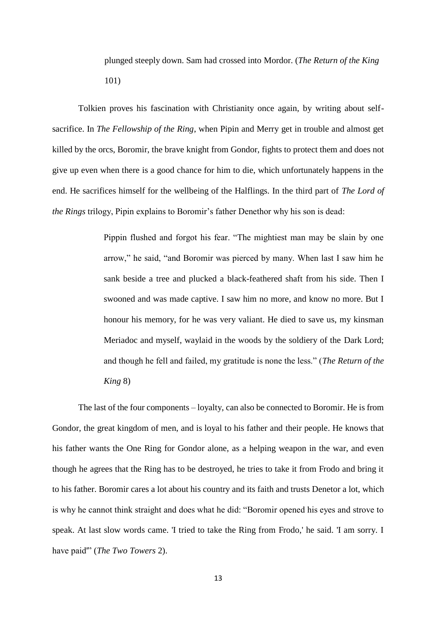plunged steeply down. Sam had crossed into Mordor. (*The Return of the King* 101)

Tolkien proves his fascination with Christianity once again, by writing about selfsacrifice. In *The Fellowship of the Ring*, when Pipin and Merry get in trouble and almost get killed by the orcs, Boromir, the brave knight from Gondor, fights to protect them and does not give up even when there is a good chance for him to die, which unfortunately happens in the end. He sacrifices himself for the wellbeing of the Halflings. In the third part of *The Lord of the Rings* trilogy, Pipin explains to Boromir's father Denethor why his son is dead:

> Pippin flushed and forgot his fear. "The mightiest man may be slain by one arrow," he said, "and Boromir was pierced by many. When last I saw him he sank beside a tree and plucked a black-feathered shaft from his side. Then I swooned and was made captive. I saw him no more, and know no more. But I honour his memory, for he was very valiant. He died to save us, my kinsman Meriadoc and myself, waylaid in the woods by the soldiery of the Dark Lord; and though he fell and failed, my gratitude is none the less." (*The Return of the King* 8)

The last of the four components – loyalty, can also be connected to Boromir. He is from Gondor, the great kingdom of men, and is loyal to his father and their people. He knows that his father wants the One Ring for Gondor alone, as a helping weapon in the war, and even though he agrees that the Ring has to be destroyed, he tries to take it from Frodo and bring it to his father. Boromir cares a lot about his country and its faith and trusts Denetor a lot, which is why he cannot think straight and does what he did: "Boromir opened his eyes and strove to speak. At last slow words came. 'I tried to take the Ring from Frodo,' he said. 'I am sorry. I have paid'" (*The Two Towers* 2).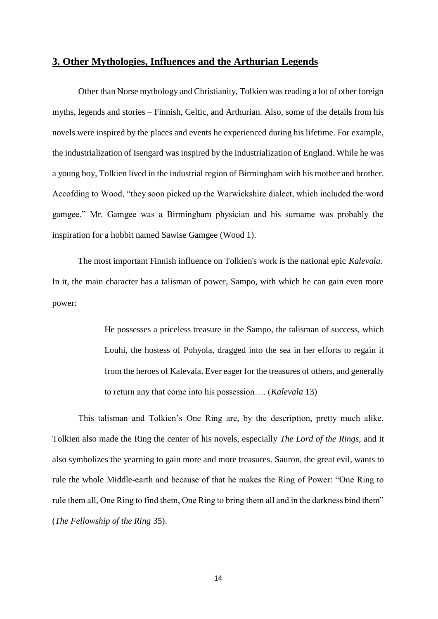#### **3. Other Mythologies, Influences and the Arthurian Legends**

Other than Norse mythology and Christianity, Tolkien was reading a lot of other foreign myths, legends and stories – Finnish, Celtic, and Arthurian. Also, some of the details from his novels were inspired by the places and events he experienced during his lifetime. For example, the industrialization of Isengard was inspired by the industrialization of England. While he was a young boy, Tolkien lived in the industrial region of Birmingham with his mother and brother. Accofding to Wood, "they soon picked up the Warwickshire dialect, which included the word gamgee." Mr. Gamgee was a Birmingham physician and his surname was probably the inspiration for a hobbit named Sawise Gamgee (Wood 1).

The most important Finnish influence on Tolkien's work is the national epic *Kalevala.* In it, the main character has a talisman of power, Sampo, with which he can gain even more power:

> He possesses a priceless treasure in the Sampo, the talisman of success, which Louhi, the hostess of Pohyola, dragged into the sea in her efforts to regain it from the heroes of Kalevala. Ever eager for the treasures of others, and generally to return any that come into his possession…. (*Kalevala* 13)

This talisman and Tolkien's One Ring are, by the description, pretty much alike. Tolkien also made the Ring the center of his novels, especially *The Lord of the Rings*, and it also symbolizes the yearning to gain more and more treasures*.* Sauron, the great evil, wants to rule the whole Middle-earth and because of that he makes the Ring of Power: "One Ring to rule them all, One Ring to find them, One Ring to bring them all and in the darkness bind them" (*The Fellowship of the Ring* 35).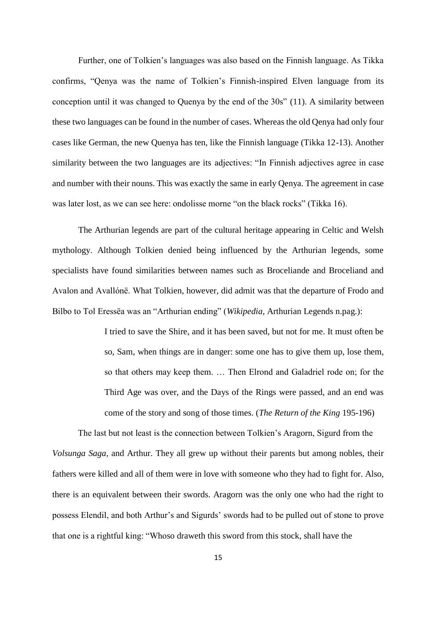Further, one of Tolkien's languages was also based on the Finnish language. As Tikka confirms, "Qenya was the name of Tolkien's Finnish-inspired Elven language from its conception until it was changed to Quenya by the end of the 30s" (11). A similarity between these two languages can be found in the number of cases. Whereas the old Qenya had only four cases like German, the new Quenya has ten, like the Finnish language (Tikka 12-13). Another similarity between the two languages are its adjectives: "In Finnish adjectives agree in case and number with their nouns. This was exactly the same in early Qenya. The agreement in case was later lost, as we can see here: ondolisse morne "on the black rocks" (Tikka 16).

The Arthurian legends are part of the cultural heritage appearing in Celtic and Welsh mythology. Although Tolkien denied being influenced by the Arthurian legends, some specialists have found similarities between names such as Broceliande and Broceliand and Avalon and Avallónë. What Tolkien, however, did admit was that the departure of Frodo and Bilbo to Tol Eressëa was an "Arthurian ending" (*Wikipedia*, Arthurian Legends n.pag.):

> I tried to save the Shire, and it has been saved, but not for me. It must often be so, Sam, when things are in danger: some one has to give them up, lose them, so that others may keep them. … Then Elrond and Galadriel rode on; for the Third Age was over, and the Days of the Rings were passed, and an end was come of the story and song of those times. (*The Return of the King* 195-196)

The last but not least is the connection between Tolkien's Aragorn, Sigurd from the *Volsunga Saga*, and Arthur. They all grew up without their parents but among nobles, their fathers were killed and all of them were in love with someone who they had to fight for. Also, there is an equivalent between their swords. Aragorn was the only one who had the right to possess Elendil, and both Arthur's and Sigurds' swords had to be pulled out of stone to prove that one is a rightful king: "Whoso draweth this sword from this stock, shall have the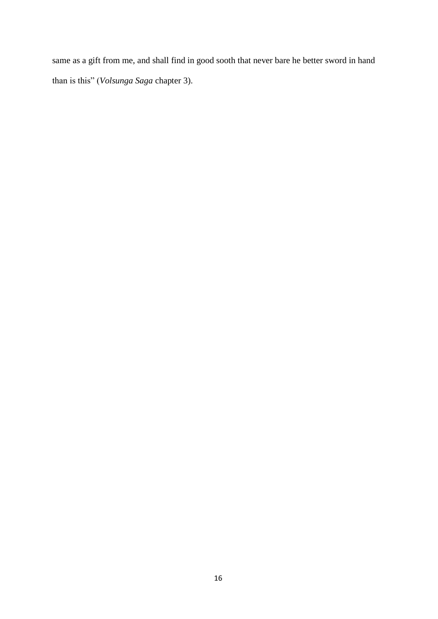same as a gift from me, and shall find in good sooth that never bare he better sword in hand than is this" (*Volsunga Saga* chapter 3).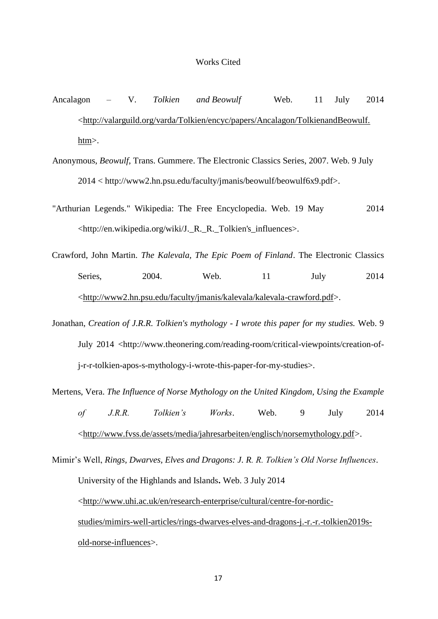#### Works Cited

- Ancalagon V. *Tolkien and Beowulf* Web. 11 July 2014 <http://valarguild.org/varda/Tolkien/encyc/papers/Ancalagon/TolkienandBeowulf. htm>.
- Anonymous, *Beowulf,* Trans. Gummere. The Electronic Classics Series, 2007. Web. 9 July 2014 < http://www2.hn.psu.edu/faculty/jmanis/beowulf/beowulf6x9.pdf>.
- "Arthurian Legends." Wikipedia: The Free Encyclopedia. Web. 19 May 2014 <http://en.wikipedia.org/wiki/J.\_R.\_R.\_Tolkien's\_influences>.
- Crawford, John Martin. *The Kalevala, The Epic Poem of Finland*. The Electronic Classics Series, 2004. Web. 11 July 2014 <http://www2.hn.psu.edu/faculty/jmanis/kalevala/kalevala-crawford.pdf>.
- Jonathan, *Creation of J.R.R. Tolkien's mythology - I wrote this paper for my studies.* Web. 9 July 2014 <http://www.theonering.com/reading-room/critical-viewpoints/creation-ofj-r-r-tolkien-apos-s-mythology-i-wrote-this-paper-for-my-studies>.
- Mertens, Vera. *The Influence of Norse Mythology on the United Kingdom, Using the Example of J.R.R. Tolkien's Works*. Web. 9 July 2014 <http://www.fvss.de/assets/media/jahresarbeiten/englisch/norsemythology.pdf>.
- Mimir's Well, *Rings, Dwarves, Elves and Dragons: J. R. R. Tolkien's Old Norse Influences*. University of the Highlands and Islands**.** Web. 3 July 2014 <http://www.uhi.ac.uk/en/research-enterprise/cultural/centre-for-nordicstudies/mimirs-well-articles/rings-dwarves-elves-and-dragons-j.-r.-r.-tolkien2019sold-norse-influences>.